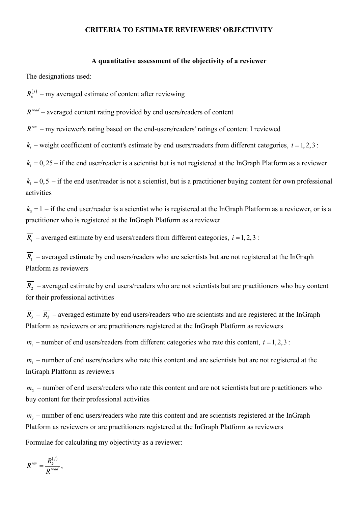## CRITERIA TO ESTIMATE REVIEWERS' OBJECTIVITY

#### A quantitative assessment of the objectivity of a reviewer

The designations used:

 $R_k^{(j)}$  – my averaged estimate of content after reviewing

 $R^{read}$  – averaged content rating provided by end users/readers of content

 $R^{rev}$  – my reviewer's rating based on the end-users/readers' ratings of content I reviewed

 $k_i$  – weight coefficient of content's estimate by end users/readers from different categories,  $i = 1, 2, 3$ :

 $k_1 = 0, 25$  – if the end user/reader is a scientist but is not registered at the InGraph Platform as a reviewer

 $k_1 = 0, 5$  – if the end user/reader is not a scientist, but is a practitioner buying content for own professional activities

 $k_3 = 1 -$  if the end user/reader is a scientist who is registered at the InGraph Platform as a reviewer, or is a practitioner who is registered at the InGraph Platform as a reviewer

 $\overline{R_i}$  – averaged estimate by end users/readers from different categories,  $i = 1, 2, 3$ :

 $R_1$  – averaged estimate by end users/readers who are scientists but are not registered at the InGraph Platform as reviewers

 $R_2$  – averaged estimate by end users/readers who are not scientists but are practitioners who buy content for their professional activities

 $R_3 - R_3$  – averaged estimate by end users/readers who are scientists and are registered at the InGraph Platform as reviewers or are practitioners registered at the InGraph Platform as reviewers

 $m<sub>i</sub>$  – number of end users/readers from different categories who rate this content,  $i = 1, 2, 3$ :

 $m_1$  – number of end users/readers who rate this content and are scientists but are not registered at the InGraph Platform as reviewers

 $m<sub>2</sub>$  – number of end users/readers who rate this content and are not scientists but are practitioners who buy content for their professional activities

 $m_3$  – number of end users/readers who rate this content and are scientists registered at the InGraph Platform as reviewers or are practitioners registered at the InGraph Platform as reviewers

Formulae for calculating my objectivity as a reviewer:

$$
R^{rev} = \frac{R_k^{(j)}}{R^{read}},
$$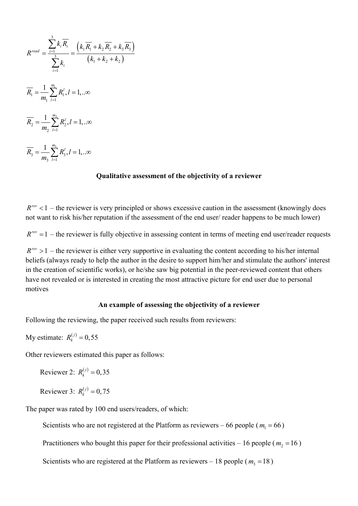$$
R^{read} = \frac{\sum_{i=1}^{3} k_i \overline{R_i}}{\sum_{i=1}^{3} k_i} = \frac{\left(k_1 \overline{R_1} + k_2 \overline{R_2} + k_3 \overline{R_3}\right)}{\left(k_1 + k_2 + k_2\right)}
$$
  

$$
\overline{R_1} = \frac{1}{m_1} \sum_{i=1}^{m_1} R_1^i, l = 1, ...\infty
$$
  

$$
\overline{R_2} = \frac{1}{m_2} \sum_{i=1}^{m_2} R_2^i, l = 1, ...\infty
$$
  

$$
\overline{R_3} = \frac{1}{m_3} \sum_{i=1}^{m_3} R_3^i, l = 1, ...\infty
$$

## Qualitative assessment of the objectivity of a reviewer

 $R^{rev}$  < 1 – the reviewer is very principled or shows excessive caution in the assessment (knowingly does not want to risk his/her reputation if the assessment of the end user/ reader happens to be much lower)

 $R^{rev} = 1$  – the reviewer is fully objective in assessing content in terms of meeting end user/reader requests

 $R^{rev} > 1$  – the reviewer is either very supportive in evaluating the content according to his/her internal beliefs (always ready to help the author in the desire to support him/her and stimulate the authors' interest in the creation of scientific works), or he/she saw big potential in the peer-reviewed content that others have not revealed or is interested in creating the most attractive picture for end user due to personal motives

## An example of assessing the objectivity of a reviewer

Following the reviewing, the paper received such results from reviewers:

My estimate:  $R_k^{(j)} = 0,55$ 

Other reviewers estimated this paper as follows:

Reviewer 2: 
$$
R_k^{(j)} = 0.35
$$

Reviewer 3:  $R_k^{(j)} = 0.75$ 

The paper was rated by 100 end users/readers, of which:

Scientists who are not registered at the Platform as reviewers – 66 people ( $m_1 = 66$ )

Practitioners who bought this paper for their professional activities – 16 people ( $m<sub>2</sub>$  = 16)

Scientists who are registered at the Platform as reviewers – 18 people ( $m_3$  = 18)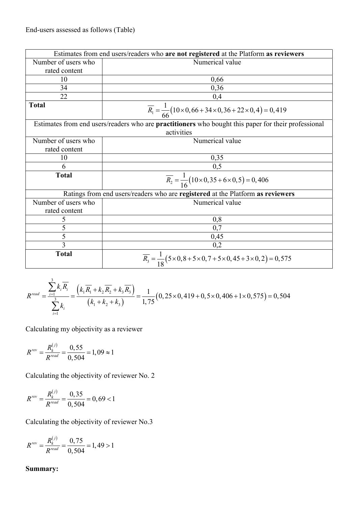|                     | Estimates from end users/readers who are not registered at the Platform as reviewers                              |
|---------------------|-------------------------------------------------------------------------------------------------------------------|
| Number of users who | Numerical value                                                                                                   |
| rated content       |                                                                                                                   |
| 10                  | 0,66                                                                                                              |
| 34                  | 0,36                                                                                                              |
| 22                  | 0,4                                                                                                               |
| <b>Total</b>        | $\overline{R_1} = \frac{1}{66} (10 \times 0, 66 + 34 \times 0, 36 + 22 \times 0, 4) = 0,419$                      |
|                     | Estimates from end users/readers who are practitioners who bought this paper for their professional<br>activities |
| Number of users who | Numerical value                                                                                                   |
| rated content       |                                                                                                                   |
| 10                  | 0,35                                                                                                              |
| 6                   | 0,5                                                                                                               |
| <b>Total</b>        | $\overline{R_2} = \frac{1}{16} (10 \times 0.35 + 6 \times 0.5) = 0.406$                                           |
|                     | Ratings from end users/readers who are registered at the Platform as reviewers                                    |
| Number of users who | Numerical value                                                                                                   |
| rated content       |                                                                                                                   |
| 5                   | 0,8                                                                                                               |
| 5                   | 0,7                                                                                                               |
| 5                   | 0,45                                                                                                              |
| 3                   | 0,2                                                                                                               |
| <b>Total</b>        | $\overline{R_3} = \frac{1}{18} (5 \times 0.8 + 5 \times 0.7 + 5 \times 0.45 + 3 \times 0.2) = 0.575$              |

$$
R^{read} = \frac{\sum_{i=1}^{3} k_i \overline{R_i}}{\sum_{i=1}^{3} k_i} = \frac{\left(k_1 \overline{R_1} + k_2 \overline{R_2} + k_3 \overline{R_3}\right)}{\left(k_1 + k_2 + k_3\right)} = \frac{1}{1,75} \left(0, 25 \times 0, 419 + 0, 5 \times 0, 406 + 1 \times 0, 575\right) = 0,504
$$

$$
R^{rev} = \frac{R_k^{(j)}}{R^{read}} = \frac{0,55}{0,504} = 1,09 \approx 1
$$

Calculating the objectivity of reviewer No. 2

$$
R^{rev} = \frac{R_k^{(j)}}{R^{read}} = \frac{0,35}{0,504} = 0,69 < 1
$$

Calculating the objectivity of reviewer No.3

$$
R^{rev} = \frac{R_k^{(j)}}{R^{read}} = \frac{0,75}{0,504} = 1,49 > 1
$$

# Summary: